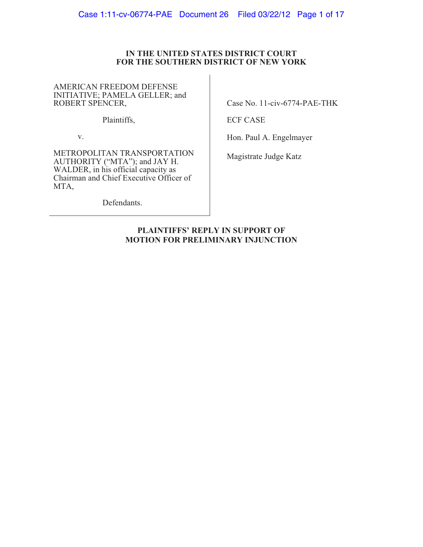## **IN THE UNITED STATES DISTRICT COURT FOR THE SOUTHERN DISTRICT OF NEW YORK**

AMERICAN FREEDOM DEFENSE INITIATIVE; PAMELA GELLER; and ROBERT SPENCER,

Plaintiffs,

v.

METROPOLITAN TRANSPORTATION AUTHORITY ("MTA"); and JAY H. WALDER, in his official capacity as Chairman and Chief Executive Officer of MTA,

Case No. 11-civ-6774-PAE-THK

ECF CASE

Hon. Paul A. Engelmayer

Magistrate Judge Katz

Defendants.

**PLAINTIFFS' REPLY IN SUPPORT OF MOTION FOR PRELIMINARY INJUNCTION**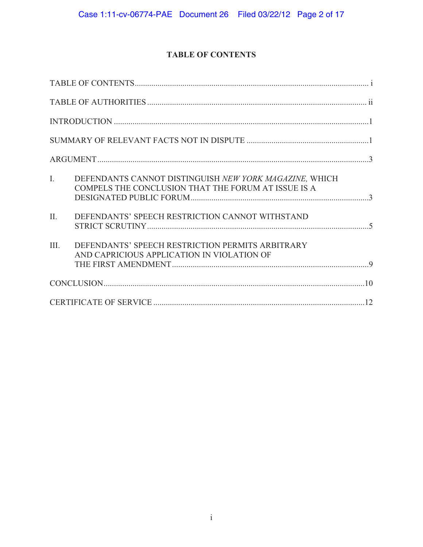# **TABLE OF CONTENTS**

| $\mathbf{I}$ . | DEFENDANTS CANNOT DISTINGUISH NEW YORK MAGAZINE, WHICH<br>COMPELS THE CONCLUSION THAT THE FORUM AT ISSUE IS A |  |
|----------------|---------------------------------------------------------------------------------------------------------------|--|
| II.            | DEFENDANTS' SPEECH RESTRICTION CANNOT WITHSTAND                                                               |  |
| III.           | DEFENDANTS' SPEECH RESTRICTION PERMITS ARBITRARY<br>AND CAPRICIOUS APPLICATION IN VIOLATION OF                |  |
|                |                                                                                                               |  |
|                |                                                                                                               |  |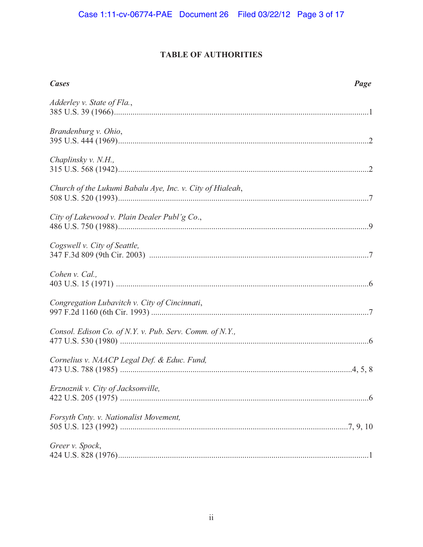# **TABLE OF AUTHORITIES**

| <b>Cases</b><br>Page                                      |
|-----------------------------------------------------------|
| Adderley v. State of Fla.,                                |
| Brandenburg v. Ohio,                                      |
| Chaplinsky v. N.H.,                                       |
| Church of the Lukumi Babalu Aye, Inc. v. City of Hialeah, |
| City of Lakewood v. Plain Dealer Publ'g Co.,              |
| Cogswell v. City of Seattle,                              |
| Cohen v. Cal.,                                            |
| Congregation Lubavitch v. City of Cincinnati,             |
| Consol. Edison Co. of N.Y. v. Pub. Serv. Comm. of N.Y.,   |
| Cornelius v. NAACP Legal Def. & Educ. Fund,               |
| Erznoznik v. City of Jacksonville,                        |
| Forsyth Cnty. v. Nationalist Movement,                    |
| Greer v. Spock,                                           |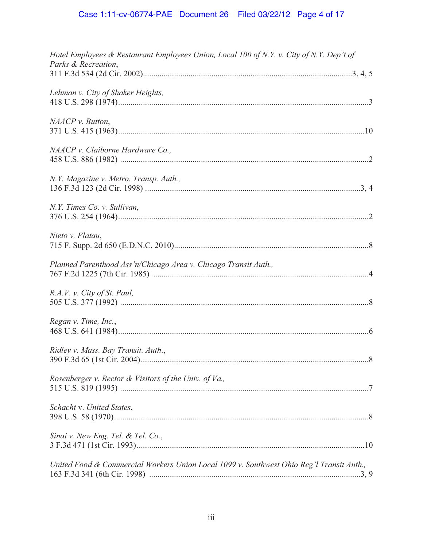# Case 1:11-cv-06774-PAE Document 26 Filed 03/22/12 Page 4 of 17

| Hotel Employees & Restaurant Employees Union, Local 100 of N.Y. v. City of N.Y. Dep't of<br>Parks & Recreation, |  |  |
|-----------------------------------------------------------------------------------------------------------------|--|--|
|                                                                                                                 |  |  |
| Lehman v. City of Shaker Heights,                                                                               |  |  |
| NAACP v. Button,                                                                                                |  |  |
| NAACP v. Claiborne Hardware Co.,                                                                                |  |  |
| N.Y. Magazine v. Metro. Transp. Auth.,                                                                          |  |  |
| N.Y. Times Co. v. Sullivan,                                                                                     |  |  |
| Nieto v. Flatau,                                                                                                |  |  |
| Planned Parenthood Ass'n/Chicago Area v. Chicago Transit Auth.,                                                 |  |  |
| R.A.V. v. City of St. Paul,                                                                                     |  |  |
| Regan v. Time, Inc.,                                                                                            |  |  |
| Ridley v. Mass. Bay Transit. Auth.,                                                                             |  |  |
| Rosenberger v. Rector & Visitors of the Univ. of Va.,                                                           |  |  |
| Schacht v. United States,                                                                                       |  |  |
| Sinai v. New Eng. Tel. & Tel. Co.,                                                                              |  |  |
| United Food & Commercial Workers Union Local 1099 v. Southwest Ohio Reg'l Transit Auth.,                        |  |  |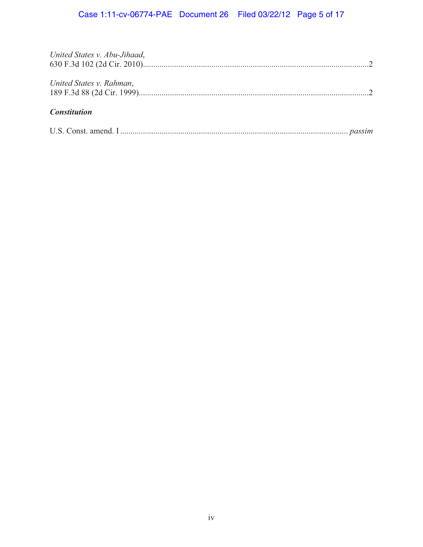| United States v. Abu-Jihaad, |  |  |
|------------------------------|--|--|
| United States v. Rahman,     |  |  |
| <b>Constitution</b>          |  |  |
|                              |  |  |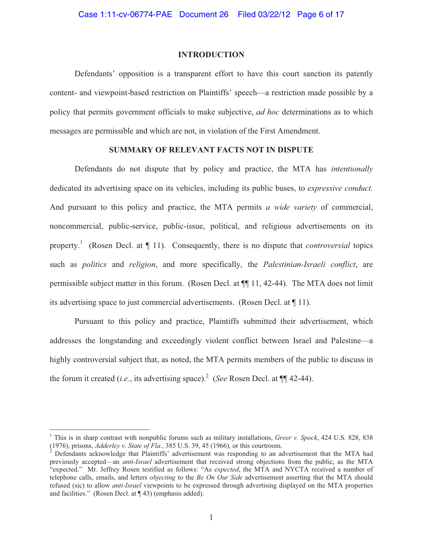#### **INTRODUCTION**

 Defendants' opposition is a transparent effort to have this court sanction its patently content- and viewpoint-based restriction on Plaintiffs' speech—a restriction made possible by a policy that permits government officials to make subjective, *ad hoc* determinations as to which messages are permissible and which are not, in violation of the First Amendment.

### **SUMMARY OF RELEVANT FACTS NOT IN DISPUTE**

Defendants do not dispute that by policy and practice, the MTA has *intentionally* dedicated its advertising space on its vehicles, including its public buses, to *expressive conduct*. And pursuant to this policy and practice, the MTA permits *a wide variety* of commercial, noncommercial, public-service, public-issue, political, and religious advertisements on its property.<sup>1</sup> (Rosen Decl. at ¶ 11). Consequently, there is no dispute that *controversial* topics such as *politics* and *religion*, and more specifically, the *Palestinian-Israeli conflict*, are permissible subject matter in this forum. (Rosen Decl. at ¶¶ 11, 42-44). The MTA does not limit its advertising space to just commercial advertisements. (Rosen Decl. at ¶ 11).

Pursuant to this policy and practice, Plaintiffs submitted their advertisement, which addresses the longstanding and exceedingly violent conflict between Israel and Palestine—a highly controversial subject that, as noted, the MTA permits members of the public to discuss in the forum it created (*i.e.*, its advertising space).<sup>2</sup> (*See* Rosen Decl. at  $\P$  42-44).

 $\overline{a}$ 

<sup>1</sup> This is in sharp contrast with nonpublic forums such as military installations, *Greer v. Spock*, 424 U.S. 828, 838 (1976), prisons, *Adderley v. State of Fla.*, 385 U.S. 39, 45 (1966), or this courtroom.

 $2$  Defendants acknowledge that Plaintiffs' advertisement was responding to an advertisement that the MTA had previously accepted—an *anti-Israel* advertisement that received strong objections from the public, as the MTA "expected." Mr. Jeffrey Rosen testified as follows: "As *expected*, the MTA and NYCTA received a number of telephone calls, emails, and letters *objecting* to the *Be On Our Side* advertisement asserting that the MTA should refused (sic) to allow *anti-Israel* viewpoints to be expressed through advertising displayed on the MTA properties and facilities." (Rosen Decl. at ¶ 43) (emphasis added).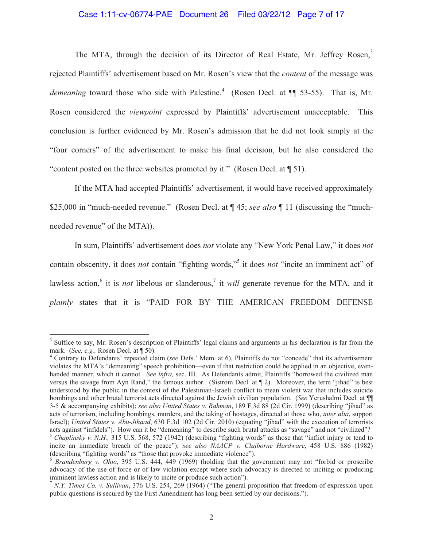## Case 1:11-cv-06774-PAE Document 26 Filed 03/22/12 Page 7 of 17

The MTA, through the decision of its Director of Real Estate, Mr. Jeffrey Rosen,<sup>3</sup> rejected Plaintiffs' advertisement based on Mr. Rosen's view that the *content* of the message was demeaning toward those who side with Palestine.<sup>4</sup> (Rosen Decl. at ¶ 53-55). That is, Mr. Rosen considered the *viewpoint* expressed by Plaintiffs' advertisement unacceptable. This conclusion is further evidenced by Mr. Rosen's admission that he did not look simply at the "four corners" of the advertisement to make his final decision, but he also considered the "content posted on the three websites promoted by it." (Rosen Decl. at ¶ 51).

If the MTA had accepted Plaintiffs' advertisement, it would have received approximately \$25,000 in "much-needed revenue." (Rosen Decl. at ¶ 45; *see also* ¶ 11 (discussing the "muchneeded revenue" of the MTA)).

In sum, Plaintiffs' advertisement does *not* violate any "New York Penal Law," it does *not*  contain obscenity, it does *not* contain "fighting words,"<sup>5</sup> it does *not* "incite an imminent act" of lawless action,<sup>6</sup> it is *not* libelous or slanderous,<sup>7</sup> it *will* generate revenue for the MTA, and it *plainly* states that it is "PAID FOR BY THE AMERICAN FREEDOM DEFENSE

 $\overline{a}$ 

<sup>&</sup>lt;sup>3</sup> Suffice to say, Mr. Rosen's description of Plaintiffs' legal claims and arguments in his declaration is far from the mark. (*See, e.g.,* Rosen Decl. at ¶ 50).

<sup>4</sup> Contrary to Defendants' repeated claim (*see* Defs.' Mem. at 6), Plaintiffs do not "concede" that its advertisement violates the MTA's "demeaning" speech prohibition—even if that restriction could be applied in an objective, evenhanded manner, which it cannot. *See infra,* sec. III. As Defendants admit, Plaintiffs "borrowed the civilized man versus the savage from Ayn Rand," the famous author. (Sistrom Decl. at ¶ 2). Moreover, the term "jihad" is best understood by the public in the context of the Palestinian-Israeli conflict to mean violent war that includes suicide bombings and other brutal terrorist acts directed against the Jewish civilian population. (*See* Yerushalmi Decl. at ¶¶ 3-5 & accompanying exhibits); *see also United States v. Rahman*, 189 F.3d 88 (2d Cir. 1999) (describing "jihad" as acts of terrorism, including bombings, murders, and the taking of hostages, directed at those who, *inter alia*, support Israel); *United States v. Abu-Jihaad*, 630 F.3d 102 (2d Cir. 2010) (equating "jihad" with the execution of terrorists acts against "infidels"). How can it be "demeaning" to describe such brutal attacks as "savage" and not "civilized"?  $5$  *Chaplinsky v. N.H.*, 315 U.S. 568, 572 (1942) (describing "fighting words" as those that "inflict injury or tend to incite an immediate breach of the peace"); *see also NAACP v. Claiborne Hardware*, 458 U.S. 886 (1982) (describing "fighting words" as "those that provoke immediate violence").

<sup>6</sup> *Brandenburg v. Ohio*, 395 U.S. 444, 449 (1969) (holding that the government may not "forbid or proscribe advocacy of the use of force or of law violation except where such advocacy is directed to inciting or producing imminent lawless action and is likely to incite or produce such action").

<sup>7</sup> *N.Y. Times Co. v. Sullivan*, 376 U.S. 254, 269 (1964) ("The general proposition that freedom of expression upon public questions is secured by the First Amendment has long been settled by our decisions.").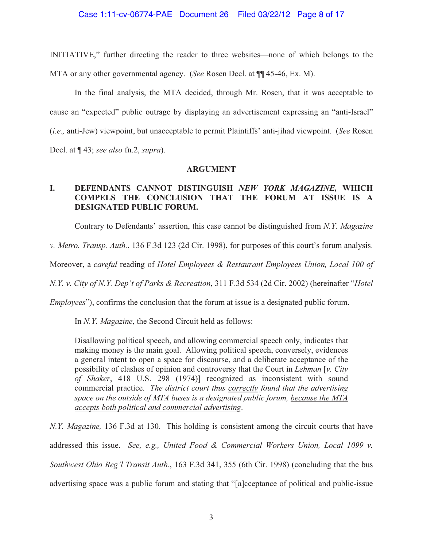## Case 1:11-cv-06774-PAE Document 26 Filed 03/22/12 Page 8 of 17

INITIATIVE," further directing the reader to three websites—none of which belongs to the MTA or any other governmental agency. (*See* Rosen Decl. at ¶¶ 45-46, Ex. M).

In the final analysis, the MTA decided, through Mr. Rosen, that it was acceptable to cause an "expected" public outrage by displaying an advertisement expressing an "anti-Israel" (*i.e.,* anti-Jew) viewpoint, but unacceptable to permit Plaintiffs' anti-jihad viewpoint. (*See* Rosen Decl. at ¶ 43; *see also* fn.2, *supra*).

#### **ARGUMENT**

## **I. DEFENDANTS CANNOT DISTINGUISH** *NEW YORK MAGAZINE,* **WHICH COMPELS THE CONCLUSION THAT THE FORUM AT ISSUE IS A DESIGNATED PUBLIC FORUM.**

Contrary to Defendants' assertion, this case cannot be distinguished from *N.Y. Magazine* 

*v. Metro. Transp. Auth.*, 136 F.3d 123 (2d Cir. 1998), for purposes of this court's forum analysis.

Moreover, a *careful* reading of *Hotel Employees & Restaurant Employees Union, Local 100 of* 

*N.Y. v. City of N.Y. Dep't of Parks & Recreation*, 311 F.3d 534 (2d Cir. 2002) (hereinafter "*Hotel* 

*Employees*"), confirms the conclusion that the forum at issue is a designated public forum.

In *N.Y. Magazine*, the Second Circuit held as follows:

Disallowing political speech, and allowing commercial speech only, indicates that making money is the main goal. Allowing political speech, conversely, evidences a general intent to open a space for discourse, and a deliberate acceptance of the possibility of clashes of opinion and controversy that the Court in *Lehman* [*v. City of Shaker*, 418 U.S. 298 (1974)] recognized as inconsistent with sound commercial practice. *The district court thus correctly found that the advertising space on the outside of MTA buses is a designated public forum, because the MTA accepts both political and commercial advertising*.

*N.Y. Magazine,* 136 F.3d at 130. This holding is consistent among the circuit courts that have addressed this issue. *See, e.g., United Food & Commercial Workers Union, Local 1099 v. Southwest Ohio Reg'l Transit Auth.*, 163 F.3d 341, 355 (6th Cir. 1998) (concluding that the bus advertising space was a public forum and stating that "[a]cceptance of political and public-issue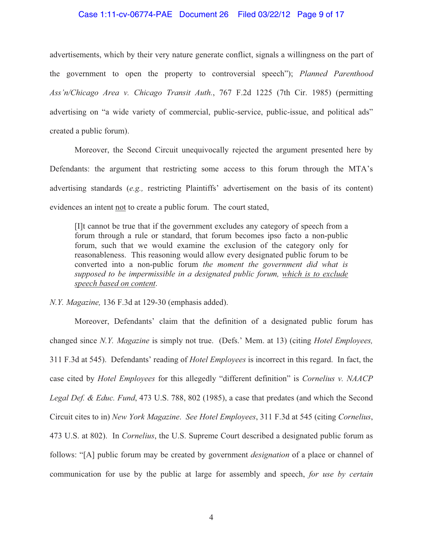### Case 1:11-cv-06774-PAE Document 26 Filed 03/22/12 Page 9 of 17

advertisements, which by their very nature generate conflict, signals a willingness on the part of the government to open the property to controversial speech"); *Planned Parenthood Ass'n/Chicago Area v. Chicago Transit Auth.*, 767 F.2d 1225 (7th Cir. 1985) (permitting advertising on "a wide variety of commercial, public-service, public-issue, and political ads" created a public forum).

 Moreover, the Second Circuit unequivocally rejected the argument presented here by Defendants: the argument that restricting some access to this forum through the MTA's advertising standards (*e.g.,* restricting Plaintiffs' advertisement on the basis of its content) evidences an intent not to create a public forum. The court stated,

[I]t cannot be true that if the government excludes any category of speech from a forum through a rule or standard, that forum becomes ipso facto a non-public forum, such that we would examine the exclusion of the category only for reasonableness. This reasoning would allow every designated public forum to be converted into a non-public forum *the moment the government did what is supposed to be impermissible in a designated public forum, which is to exclude speech based on content*.

*N.Y. Magazine,* 136 F.3d at 129-30 (emphasis added).

Moreover, Defendants' claim that the definition of a designated public forum has changed since *N.Y. Magazine* is simply not true. (Defs.' Mem. at 13) (citing *Hotel Employees,*  311 F.3d at 545).Defendants' reading of *Hotel Employees* is incorrect in this regard. In fact, the case cited by *Hotel Employees* for this allegedly "different definition" is *Cornelius v. NAACP Legal Def. & Educ. Fund*, 473 U.S. 788, 802 (1985), a case that predates (and which the Second Circuit cites to in) *New York Magazine*. *See Hotel Employees*, 311 F.3d at 545 (citing *Cornelius*, 473 U.S. at 802). In *Cornelius*, the U.S. Supreme Court described a designated public forum as follows: "[A] public forum may be created by government *designation* of a place or channel of communication for use by the public at large for assembly and speech, *for use by certain*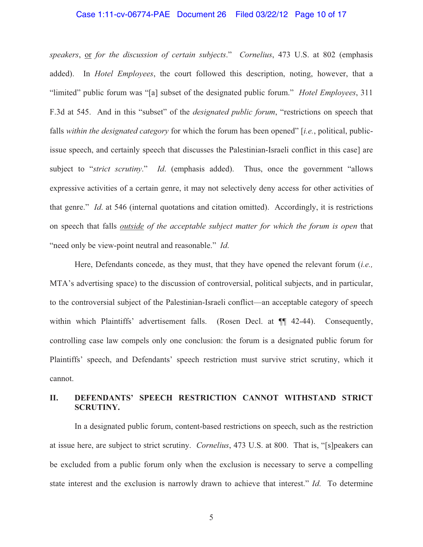#### Case 1:11-cv-06774-PAE Document 26 Filed 03/22/12 Page 10 of 17

*speakers*, or *for the discussion of certain subjects*." *Cornelius*, 473 U.S. at 802 (emphasis added). In *Hotel Employees*, the court followed this description, noting, however, that a "limited" public forum was "[a] subset of the designated public forum." *Hotel Employees*, 311 F.3d at 545. And in this "subset" of the *designated public forum*, "restrictions on speech that falls *within the designated category* for which the forum has been opened" [*i.e.*, political, publicissue speech, and certainly speech that discusses the Palestinian-Israeli conflict in this case] are subject to "*strict scrutiny*." *Id*. (emphasis added). Thus, once the government "allows expressive activities of a certain genre, it may not selectively deny access for other activities of that genre." *Id*. at 546 (internal quotations and citation omitted). Accordingly, it is restrictions on speech that falls *outside of the acceptable subject matter for which the forum is open* that "need only be view-point neutral and reasonable." *Id*.

Here, Defendants concede, as they must, that they have opened the relevant forum (*i.e.,* MTA's advertising space) to the discussion of controversial, political subjects, and in particular, to the controversial subject of the Palestinian-Israeli conflict—an acceptable category of speech within which Plaintiffs' advertisement falls. (Rosen Decl. at  $\P$  42-44). Consequently, controlling case law compels only one conclusion: the forum is a designated public forum for Plaintiffs' speech, and Defendants' speech restriction must survive strict scrutiny, which it cannot.

## **II. DEFENDANTS' SPEECH RESTRICTION CANNOT WITHSTAND STRICT SCRUTINY.**

In a designated public forum, content-based restrictions on speech, such as the restriction at issue here, are subject to strict scrutiny. *Cornelius*, 473 U.S. at 800. That is, "[s]peakers can be excluded from a public forum only when the exclusion is necessary to serve a compelling state interest and the exclusion is narrowly drawn to achieve that interest." *Id*. To determine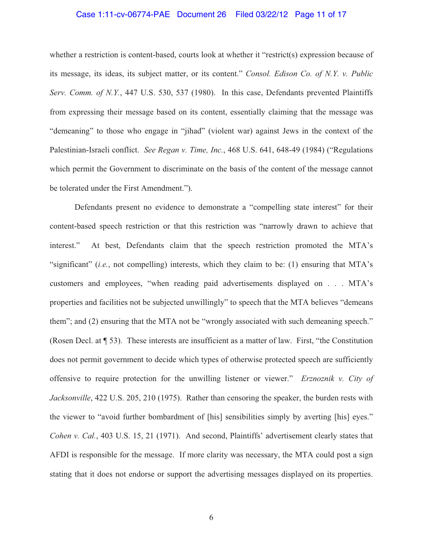#### Case 1:11-cv-06774-PAE Document 26 Filed 03/22/12 Page 11 of 17

whether a restriction is content-based, courts look at whether it "restrict(s) expression because of its message, its ideas, its subject matter, or its content." *Consol. Edison Co. of N.Y. v. Public Serv. Comm. of N.Y.*, 447 U.S. 530, 537 (1980). In this case, Defendants prevented Plaintiffs from expressing their message based on its content, essentially claiming that the message was "demeaning" to those who engage in "jihad" (violent war) against Jews in the context of the Palestinian-Israeli conflict. *See Regan v. Time, Inc.*, 468 U.S. 641, 648-49 (1984) ("Regulations which permit the Government to discriminate on the basis of the content of the message cannot be tolerated under the First Amendment.").

 Defendants present no evidence to demonstrate a "compelling state interest" for their content-based speech restriction or that this restriction was "narrowly drawn to achieve that interest." At best, Defendants claim that the speech restriction promoted the MTA's "significant" (*i.e.*, not compelling) interests, which they claim to be: (1) ensuring that MTA's customers and employees, "when reading paid advertisements displayed on . . . MTA's properties and facilities not be subjected unwillingly" to speech that the MTA believes "demeans them"; and (2) ensuring that the MTA not be "wrongly associated with such demeaning speech." (Rosen Decl. at ¶ 53). These interests are insufficient as a matter of law. First, "the Constitution does not permit government to decide which types of otherwise protected speech are sufficiently offensive to require protection for the unwilling listener or viewer." *Erznoznik v. City of Jacksonville*, 422 U.S. 205, 210 (1975). Rather than censoring the speaker, the burden rests with the viewer to "avoid further bombardment of [his] sensibilities simply by averting [his] eyes." *Cohen v. Cal.*, 403 U.S. 15, 21 (1971). And second, Plaintiffs' advertisement clearly states that AFDI is responsible for the message. If more clarity was necessary, the MTA could post a sign stating that it does not endorse or support the advertising messages displayed on its properties.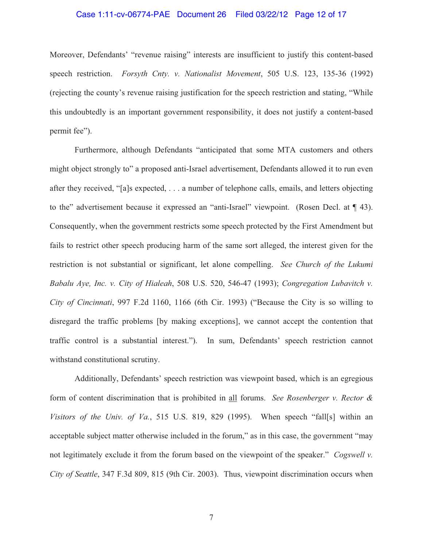#### Case 1:11-cv-06774-PAE Document 26 Filed 03/22/12 Page 12 of 17

Moreover, Defendants' "revenue raising" interests are insufficient to justify this content-based speech restriction. *Forsyth Cnty. v. Nationalist Movement*, 505 U.S. 123, 135-36 (1992) (rejecting the county's revenue raising justification for the speech restriction and stating, "While this undoubtedly is an important government responsibility, it does not justify a content-based permit fee").

 Furthermore, although Defendants "anticipated that some MTA customers and others might object strongly to" a proposed anti-Israel advertisement, Defendants allowed it to run even after they received, "[a]s expected, . . . a number of telephone calls, emails, and letters objecting to the" advertisement because it expressed an "anti-Israel" viewpoint. (Rosen Decl. at ¶ 43). Consequently, when the government restricts some speech protected by the First Amendment but fails to restrict other speech producing harm of the same sort alleged, the interest given for the restriction is not substantial or significant, let alone compelling. *See Church of the Lukumi Babalu Aye, Inc. v. City of Hialeah*, 508 U.S. 520, 546-47 (1993); *Congregation Lubavitch v. City of Cincinnati*, 997 F.2d 1160, 1166 (6th Cir. 1993) ("Because the City is so willing to disregard the traffic problems [by making exceptions], we cannot accept the contention that traffic control is a substantial interest."). In sum, Defendants' speech restriction cannot withstand constitutional scrutiny.

Additionally, Defendants' speech restriction was viewpoint based, which is an egregious form of content discrimination that is prohibited in all forums. *See Rosenberger v. Rector & Visitors of the Univ. of Va.*, 515 U.S. 819, 829 (1995). When speech "fall[s] within an acceptable subject matter otherwise included in the forum," as in this case, the government "may not legitimately exclude it from the forum based on the viewpoint of the speaker." *Cogswell v. City of Seattle*, 347 F.3d 809, 815 (9th Cir. 2003). Thus, viewpoint discrimination occurs when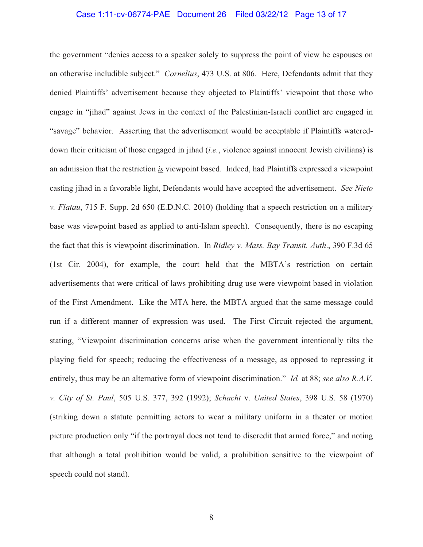#### Case 1:11-cv-06774-PAE Document 26 Filed 03/22/12 Page 13 of 17

the government "denies access to a speaker solely to suppress the point of view he espouses on an otherwise includible subject." *Cornelius*, 473 U.S. at 806. Here, Defendants admit that they denied Plaintiffs' advertisement because they objected to Plaintiffs' viewpoint that those who engage in "jihad" against Jews in the context of the Palestinian-Israeli conflict are engaged in "savage" behavior. Asserting that the advertisement would be acceptable if Plaintiffs watereddown their criticism of those engaged in jihad (*i.e.*, violence against innocent Jewish civilians) is an admission that the restriction *is* viewpoint based. Indeed, had Plaintiffs expressed a viewpoint casting jihad in a favorable light, Defendants would have accepted the advertisement. *See Nieto v. Flatau*, 715 F. Supp. 2d 650 (E.D.N.C. 2010) (holding that a speech restriction on a military base was viewpoint based as applied to anti-Islam speech). Consequently, there is no escaping the fact that this is viewpoint discrimination. In *Ridley v. Mass. Bay Transit. Auth*., 390 F.3d 65 (1st Cir. 2004), for example, the court held that the MBTA's restriction on certain advertisements that were critical of laws prohibiting drug use were viewpoint based in violation of the First Amendment. Like the MTA here, the MBTA argued that the same message could run if a different manner of expression was used. The First Circuit rejected the argument, stating, "Viewpoint discrimination concerns arise when the government intentionally tilts the playing field for speech; reducing the effectiveness of a message, as opposed to repressing it entirely, thus may be an alternative form of viewpoint discrimination." *Id.* at 88; *see also R.A.V. v. City of St. Paul*, 505 U.S. 377, 392 (1992); *Schacht* v. *United States*, 398 U.S. 58 (1970) (striking down a statute permitting actors to wear a military uniform in a theater or motion picture production only "if the portrayal does not tend to discredit that armed force," and noting that although a total prohibition would be valid, a prohibition sensitive to the viewpoint of speech could not stand).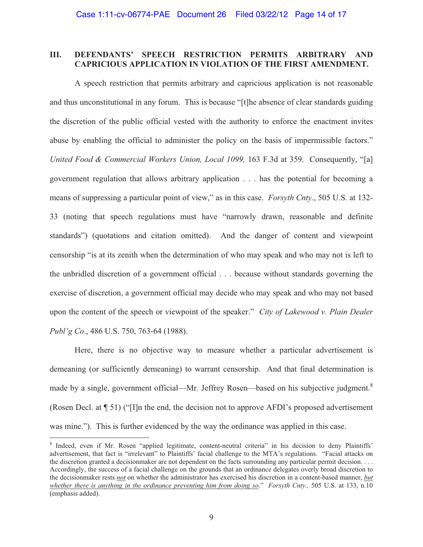## **III. DEFENDANTS' SPEECH RESTRICTION PERMITS ARBITRARY AND CAPRICIOUS APPLICATION IN VIOLATION OF THE FIRST AMENDMENT.**

A speech restriction that permits arbitrary and capricious application is not reasonable and thus unconstitutional in any forum. This is because "[t]he absence of clear standards guiding the discretion of the public official vested with the authority to enforce the enactment invites abuse by enabling the official to administer the policy on the basis of impermissible factors." *United Food & Commercial Workers Union, Local 1099,* 163 F.3d at 359. Consequently, "[a] government regulation that allows arbitrary application . . . has the potential for becoming a means of suppressing a particular point of view," as in this case. *Forsyth Cnty.*, 505 U.S. at 132- 33 (noting that speech regulations must have "narrowly drawn, reasonable and definite standards") (quotations and citation omitted). And the danger of content and viewpoint censorship "is at its zenith when the determination of who may speak and who may not is left to the unbridled discretion of a government official . . . because without standards governing the exercise of discretion, a government official may decide who may speak and who may not based upon the content of the speech or viewpoint of the speaker." *City of Lakewood v. Plain Dealer Publ'g Co*., 486 U.S. 750, 763-64 (1988).

Here, there is no objective way to measure whether a particular advertisement is demeaning (or sufficiently demeaning) to warrant censorship. And that final determination is made by a single, government official—Mr. Jeffrey Rosen—based on his subjective judgment.<sup>8</sup> (Rosen Decl. at ¶ 51) ("[I]n the end, the decision not to approve AFDI's proposed advertisement was mine."). This is further evidenced by the way the ordinance was applied in this case.

 $\overline{a}$ 

<sup>&</sup>lt;sup>8</sup> Indeed, even if Mr. Rosen "applied legitimate, content-neutral criteria" in his decision to deny Plaintiffs' advertisement, that fact is "irrelevant" to Plaintiffs' facial challenge to the MTA's regulations. "Facial attacks on the discretion granted a decisionmaker are not dependent on the facts surrounding any particular permit decision. . . . Accordingly, the success of a facial challenge on the grounds that an ordinance delegates overly broad discretion to the decisionmaker rests *not* on whether the administrator has exercised his discretion in a content-based manner, *but whether there is anything in the ordinance preventing him from doing so*." *Forsyth Cnty.,* 505 U.S. at 133, n.10 (emphasis added).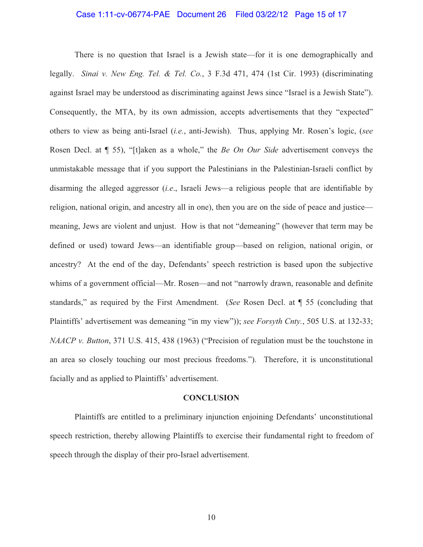#### Case 1:11-cv-06774-PAE Document 26 Filed 03/22/12 Page 15 of 17

There is no question that Israel is a Jewish state—for it is one demographically and legally. *Sinai v. New Eng. Tel. & Tel. Co.*, 3 F.3d 471, 474 (1st Cir. 1993) (discriminating against Israel may be understood as discriminating against Jews since "Israel is a Jewish State"). Consequently, the MTA, by its own admission, accepts advertisements that they "expected" others to view as being anti-Israel (*i.e.*, anti-Jewish). Thus, applying Mr. Rosen's logic, (*see* Rosen Decl. at ¶ 55), "[t]aken as a whole," the *Be On Our Side* advertisement conveys the unmistakable message that if you support the Palestinians in the Palestinian-Israeli conflict by disarming the alleged aggressor (*i.e*., Israeli Jews—a religious people that are identifiable by religion, national origin, and ancestry all in one), then you are on the side of peace and justice meaning, Jews are violent and unjust. How is that not "demeaning" (however that term may be defined or used) toward Jews—an identifiable group—based on religion, national origin, or ancestry? At the end of the day, Defendants' speech restriction is based upon the subjective whims of a government official—Mr. Rosen—and not "narrowly drawn, reasonable and definite standards," as required by the First Amendment. (*See* Rosen Decl. at ¶ 55 (concluding that Plaintiffs' advertisement was demeaning "in my view")); *see Forsyth Cnty.*, 505 U.S. at 132-33; *NAACP v. Button*, 371 U.S. 415, 438 (1963) ("Precision of regulation must be the touchstone in an area so closely touching our most precious freedoms."). Therefore, it is unconstitutional facially and as applied to Plaintiffs' advertisement.

#### **CONCLUSION**

 Plaintiffs are entitled to a preliminary injunction enjoining Defendants' unconstitutional speech restriction, thereby allowing Plaintiffs to exercise their fundamental right to freedom of speech through the display of their pro-Israel advertisement.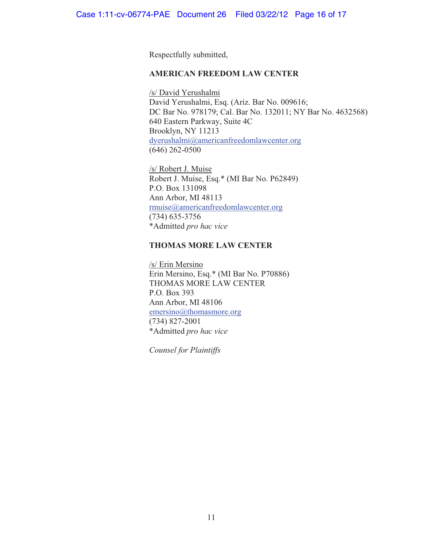Respectfully submitted,

## **AMERICAN FREEDOM LAW CENTER**

/s/ David Yerushalmi David Yerushalmi, Esq. (Ariz. Bar No. 009616; DC Bar No. 978179; Cal. Bar No. 132011; NY Bar No. 4632568) 640 Eastern Parkway, Suite 4C Brooklyn, NY 11213 dyerushalmi@americanfreedomlawcenter.org (646) 262-0500

/s/ Robert J. Muise Robert J. Muise, Esq.\* (MI Bar No. P62849) P.O. Box 131098 Ann Arbor, MI 48113 rmuise@americanfreedomlawcenter.org (734) 635-3756 \*Admitted *pro hac vice*

## **THOMAS MORE LAW CENTER**

/s/ Erin Mersino Erin Mersino, Esq.\* (MI Bar No. P70886) THOMAS MORE LAW CENTER P.O. Box 393 Ann Arbor, MI 48106 emersino@thomasmore.org (734) 827-2001 \*Admitted *pro hac vice*

*Counsel for Plaintiffs*